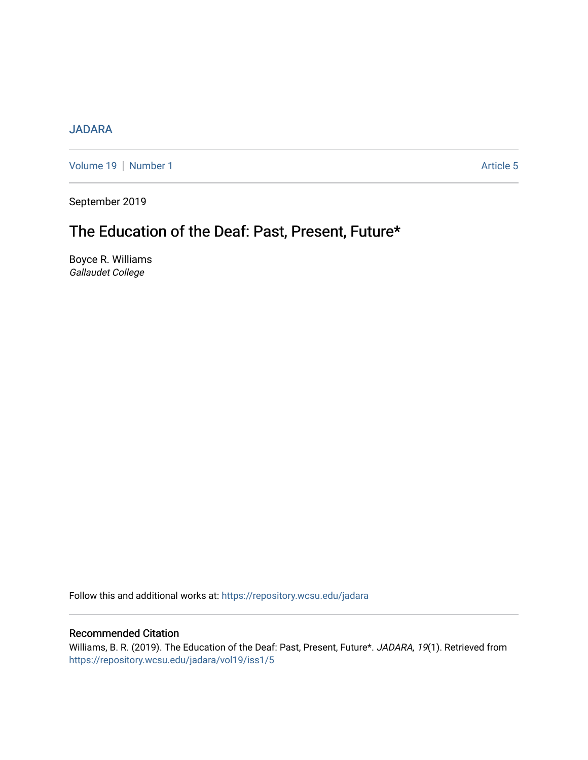# [JADARA](https://repository.wcsu.edu/jadara)

[Volume 19](https://repository.wcsu.edu/jadara/vol19) | [Number 1](https://repository.wcsu.edu/jadara/vol19/iss1) Article 5

September 2019

# The Education of the Deaf: Past, Present, Future\*

Boyce R. Williams Gallaudet College

Follow this and additional works at: [https://repository.wcsu.edu/jadara](https://repository.wcsu.edu/jadara?utm_source=repository.wcsu.edu%2Fjadara%2Fvol19%2Fiss1%2F5&utm_medium=PDF&utm_campaign=PDFCoverPages)

# Recommended Citation

Williams, B. R. (2019). The Education of the Deaf: Past, Present, Future\*. JADARA, 19(1). Retrieved from [https://repository.wcsu.edu/jadara/vol19/iss1/5](https://repository.wcsu.edu/jadara/vol19/iss1/5?utm_source=repository.wcsu.edu%2Fjadara%2Fvol19%2Fiss1%2F5&utm_medium=PDF&utm_campaign=PDFCoverPages)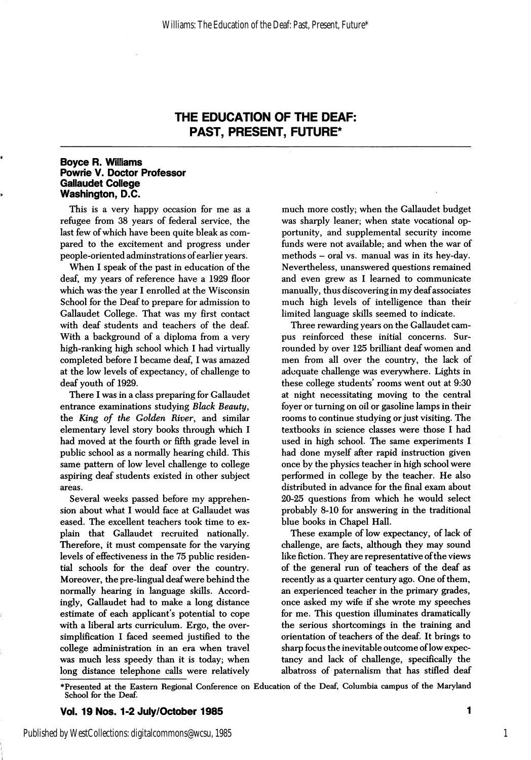## THE EDUCATION OF THE DEAF; PAST, PRESENT, FUTURE\*

#### Boyce R. Williams Powrie V. Doctor Professor Gailaudet College Washington, D.C.

This is a very happy occasion for me as a refugee from 38 years of federal service, the last few of which have been quite bleak as com pared to the excitement and progress under people-oriented adminstrations of earlier years.

When I speak of the past in education of the deaf, my years of reference have a 1929 floor which was the year I enrolled at the Wisconsin School for the Deaf to prepare for admission to Gailaudet College. That was my first contact with deaf students and teachers of the deaf. With a background of a diploma from a very high-ranking high school which I had virtually completed before I became deaf, I was amazed at the low levels of expectancy, of challenge to deaf youth of 1929.

There I was in a class preparing for Gallaudet entrance examinations studying Black Beauty, the King of the Golden River, and similar elementary level story books through which I had moved at the fourth or fifth grade level in public school as a normally hearing child. This same pattern of low level challenge to college aspiring deaf students existed in other subject areas.

Several weeks passed before my apprehen sion about what I would face at Gallaudet was eased. The excellent teachers took time to ex plain that Gallaudet recruited nationally. Therefore, it must compensate for the varying levels of effectiveness in the 75 public residen tial schools for the deaf over the country. Moreover, the pre-lingual deaf were behind the normally hearing in language skills. Accord ingly, Gallaudet had to make a long distance estimate of each applicant's potential to cope with a liberal arts curriculum. Ergo, the over simplification I faced seemed justified to the college administration in an era when travel was much less speedy than it is today; when long distance telephone calls were relatively

much more costly; when the Gailaudet budget was sharply leaner; when state vocational op portunity, and supplemental security income funds were not available; and when the war of methods - oral vs. manual was in its hey-day. Nevertheless, unanswered questions remained and even grew as I learned to communicate manually, thus discovering in my deaf associates much high levels of intelligence than their limited language skills seemed to indicate.

Three rewarding years on the Gallaudet campus reinforced these initial concerns. Sur rounded by over 125 brilliant deaf women and men from all over the country, the lack of adequate challenge was everywhere. Lights in these college students' rooms went out at 9:30 at night necessitating moving to the central foyer or turning on oil or gasoline lamps in their rooms to continue studying or just visiting. The textbooks in science classes were those I had used in high school. The same experiments I had done myself after rapid instruction given once by the physics teacher in high school were performed in college by the teacher. He also distributed in advance for the final exam about 20-25 questions from which he would select probably 8-10 for answering in the traditional blue books in Chapel Hall.

These example of low expectancy, of lack of challenge, are facts, although they may sound like fiction. They are representative of the views of the general run of teachers of the deaf as recently as a quarter century ago. One of them, an experienced teacher in the primary grades, once asked my wife if she wrote my speeches for me. This question illuminates dramatically the serious shortcomings in the training and orientation of teachers of the deaf. It brings to sharp focus the inevitable outcome of low expec tancy and lack of challenge, specifically the albatross of paternalism that has stifled deaf

#### Vol. 19 Nos. 1-2 July/October 1985

1

<sup>\*</sup>Presented at the Eastern Regional Conference on Education of the Deaf, Columbia campus of the Maryland School for the Deaf.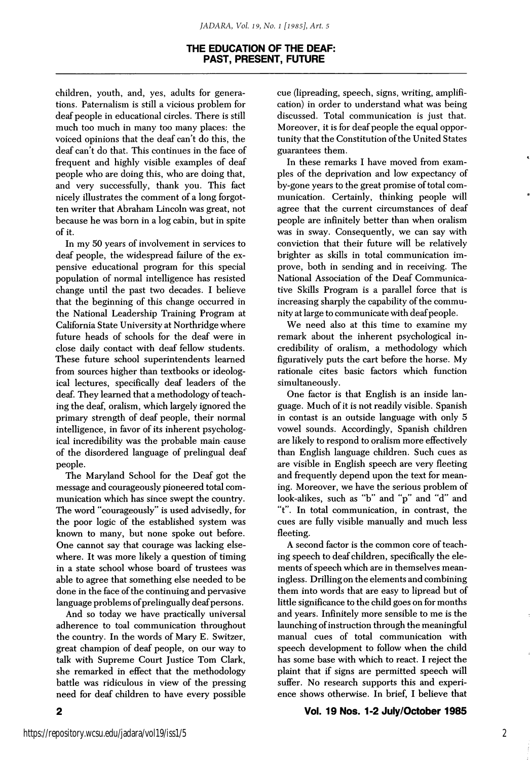## THE EDUCATION OF THE DEAF: PAST, PRESENT, FUTURE

children, youth, and, yes, adults for genera tions. Paternalism is still a vicious problem for deaf people in educational circles. There is still much too much in many too many places: the voiced opinions that the deaf can't do this, the deaf can't do that. This continues in the face of frequent and highly visible examples of deaf people who are doing this, who are doing that, and very successfully, thank you. This fact nicely illustrates the comment of a long forgot ten writer that Abraham Lincoln was great, not because he was born in a log cabin, but in spite of it.

In my 50 years of involvement in services to deaf people, the widespread failure of the ex pensive educational program for this special population of normal intelligence has resisted change until the past two decades. I believe that the beginning of this change occurred in the National Leadership Training Program at California State University at Northridge where future heads of schools for the deaf were in close daily contact with deaf fellow students. These future school superintendents learned from sources higher than textbooks or ideolog ical lectures, specifically deaf leaders of the deaf. They learned that a methodology of teach ing the deaf, oralism, which largely ignored the primary strength of deaf people, their normal intelligence, in favor of its inherent psycholog ical incredibility was the probable main cause of the disordered language of prelingual deaf people.

The Maryland School for the Deaf got the message and courageously pioneered total com munication which has since swept the country. The word "courageously" is used advisedly, for the poor logic of the established system was known to many, but none spoke out before. One cannot say that courage was lacking else where. It was more likely a question of timing in a state school whose board of trustees was able to agree that something else needed to be done in the face of the continuing and pervasive language problems of prelingually deaf persons.

And so today we have practically universal adherence to toal communication throughout the country. In the words of Mary E. Switzer, great champion of deaf people, on our way to talk with Supreme Court Justice Tom Clark, she remarked in effect that the methodology battle was ridiculous in view of the pressing need for deaf children to have every possible cue (lipreading, speech, signs, writing, amplifi cation) in order to understand what was being discussed. Total communication is just that. Moreover, it is for deaf people the equal oppor tunity that the Constitution of the United States guarantees them.

In these remarks I have moved from exam ples of the deprivation and low expectancy of by-gone years to the great promise of total com munication. Certainly, thinking people will agree that the current circumstances of deaf people are infinitely better than when oralism was in sway. Consequently, we can say with conviction that their future will be relatively brighter as skills in total communication im prove, both in sending and in receiving. The National Association of the Deaf Communica tive Skills Program is a parallel force that is increasing sharply the capability of the commu nity at large to communicate with deaf people.

We need also at this time to examine my remark about the inherent psychological in credibility of oralism, a methodology which figuratively puts the cart before the horse. My rationale cites basic factors which function simultaneously.

One factor is that English is an inside lan guage. Much of it is not readily visible. Spanish in contast is an outside language with only 5 vowel sounds. Accordingly, Spanish children are likely to respond to oralism more effectively than English language children. Such cues as are visible in English speech are very fleeting and frequently depend upon the text for mean ing. Moreover, we have the serious problem of look-alikes, such as "b" and "p" and "d" and "t". In total communication, in contrast, the cues are fully visible manually and much less fleeting.

A second factor is the common core of teach ing speech to deaf children, specifically the ele ments of speech which are in themselves mean ingless. Drilling on the elements and combining them into words that are easy to lipread but of little significance to the child goes on for months and years. Infinitely more sensible to me is the launching of instruction through the meaningful manual cues of total communication with speech development to follow when the child has some base with which to react. I reject the plaint that if signs are permitted speech will suffer. No research supports this and experi ence shows otherwise. In brief, I believe that

### Vol. 19 Nos. 1-2 July/October 1985

 $\overline{\mathbf{2}}$